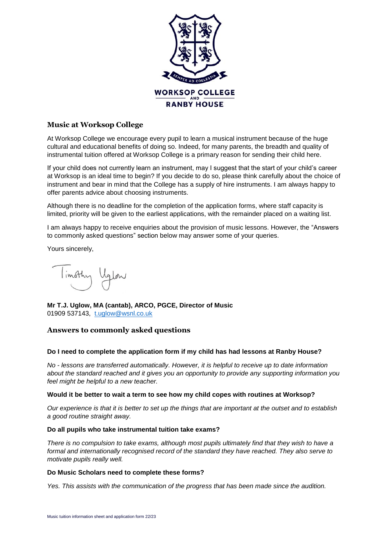

## **Music at Worksop College**

At Worksop College we encourage every pupil to learn a musical instrument because of the huge cultural and educational benefits of doing so. Indeed, for many parents, the breadth and quality of instrumental tuition offered at Worksop College is a primary reason for sending their child here.

If your child does not currently learn an instrument, may I suggest that the start of your child's career at Worksop is an ideal time to begin? If you decide to do so, please think carefully about the choice of instrument and bear in mind that the College has a supply of hire instruments. I am always happy to offer parents advice about choosing instruments.

Although there is no deadline for the completion of the application forms, where staff capacity is limited, priority will be given to the earliest applications, with the remainder placed on a waiting list.

I am always happy to receive enquiries about the provision of music lessons. However, the "Answers to commonly asked questions" section below may answer some of your queries.

Yours sincerely,

limothy Uglow

**Mr T.J. Uglow, MA (cantab), ARCO, PGCE, Director of Music** 01909 537143, [t.uglow@wsnl.co.uk](mailto:t.uglow@wsnl.co.uk)

# **Answers to commonly asked questions**

### **Do I need to complete the application form if my child has had lessons at Ranby House?**

*No - lessons are transferred automatically. However, it is helpful to receive up to date information about the standard reached and it gives you an opportunity to provide any supporting information you feel might be helpful to a new teacher.*

### **Would it be better to wait a term to see how my child copes with routines at Worksop?**

*Our experience is that it is better to set up the things that are important at the outset and to establish a good routine straight away.*

### **Do all pupils who take instrumental tuition take exams?**

*There is no compulsion to take exams, although most pupils ultimately find that they wish to have a formal and internationally recognised record of the standard they have reached. They also serve to motivate pupils really well.*

### **Do Music Scholars need to complete these forms?**

*Yes. This assists with the communication of the progress that has been made since the audition.*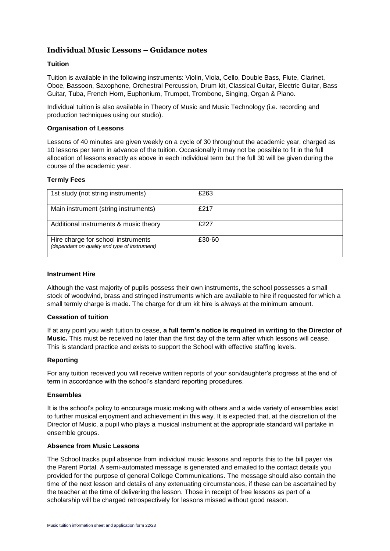# **Individual Music Lessons – Guidance notes**

### **Tuition**

Tuition is available in the following instruments: Violin, Viola, Cello, Double Bass, Flute, Clarinet, Oboe, Bassoon, Saxophone, Orchestral Percussion, Drum kit, Classical Guitar, Electric Guitar, Bass Guitar, Tuba, French Horn, Euphonium, Trumpet, Trombone, Singing, Organ & Piano.

Individual tuition is also available in Theory of Music and Music Technology (i.e. recording and production techniques using our studio).

### **Organisation of Lessons**

Lessons of 40 minutes are given weekly on a cycle of 30 throughout the academic year, charged as 10 lessons per term in advance of the tuition. Occasionally it may not be possible to fit in the full allocation of lessons exactly as above in each individual term but the full 30 will be given during the course of the academic year.

### **Termly Fees**

| 1st study (not string instruments)                                                  | £263   |
|-------------------------------------------------------------------------------------|--------|
| Main instrument (string instruments)                                                | £217   |
| Additional instruments & music theory                                               | £227   |
| Hire charge for school instruments<br>(dependant on quality and type of instrument) | £30-60 |

### **Instrument Hire**

Although the vast majority of pupils possess their own instruments, the school possesses a small stock of woodwind, brass and stringed instruments which are available to hire if requested for which a small termly charge is made. The charge for drum kit hire is always at the minimum amount.

### **Cessation of tuition**

If at any point you wish tuition to cease, **a full term's notice is required in writing to the Director of Music.** This must be received no later than the first day of the term after which lessons will cease. This is standard practice and exists to support the School with effective staffing levels.

### **Reporting**

For any tuition received you will receive written reports of your son/daughter's progress at the end of term in accordance with the school's standard reporting procedures.

### **Ensembles**

It is the school's policy to encourage music making with others and a wide variety of ensembles exist to further musical enjoyment and achievement in this way. It is expected that, at the discretion of the Director of Music, a pupil who plays a musical instrument at the appropriate standard will partake in ensemble groups.

### **Absence from Music Lessons**

The School tracks pupil absence from individual music lessons and reports this to the bill payer via the Parent Portal. A semi-automated message is generated and emailed to the contact details you provided for the purpose of general College Communications. The message should also contain the time of the next lesson and details of any extenuating circumstances, if these can be ascertained by the teacher at the time of delivering the lesson. Those in receipt of free lessons as part of a scholarship will be charged retrospectively for lessons missed without good reason.